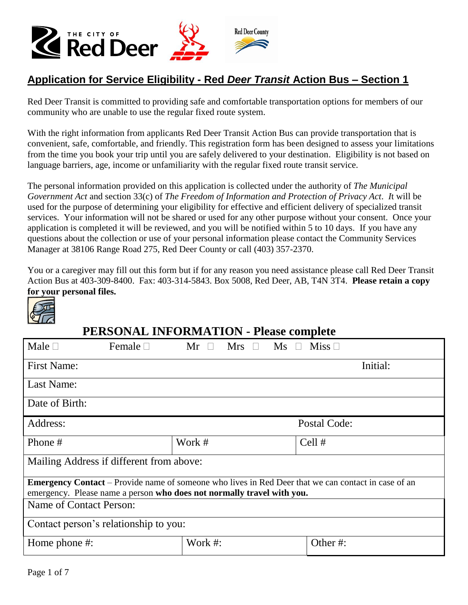

### Application for Service Eligibility - Red *Deer Transit* Action Bus - Section 1

Red Deer Transit is committed to providing safe and comfortable transportation options for members of our community who are unable to use the regular fixed route system.

With the right information from applicants Red Deer Transit Action Bus can provide transportation that is convenient, safe, comfortable, and friendly. This registration form has been designed to assess your limitations from the time you book your trip until you are safely delivered to your destination. Eligibility is not based on language barriers, age, income or unfamiliarity with the regular fixed route transit service.

The personal information provided on this application is collected under the authority of *The Municipal Government Act* and section 33(c) of *The Freedom of Information and Protection of Privacy Act*. *I*t will be used for the purpose of determining your eligibility for effective and efficient delivery of specialized transit services. Your information will not be shared or used for any other purpose without your consent. Once your application is completed it will be reviewed, and you will be notified within 5 to 10 days. If you have any questions about the collection or use of your personal information please contact the Community Services Manager at 38106 Range Road 275, Red Deer County or call (403) 357-2370.

You or a caregiver may fill out this form but if for any reason you need assistance please call Red Deer Transit Action Bus at 403-309-8400. Fax: 403-314-5843. Box 5008, Red Deer, AB, T4N 3T4. **Please retain a copy for your personal files.**



# **PERSONAL INFORMATION - Please complete**

| Male $\Box$<br>Female $\square$                                                                            | $Mr \Box$<br>$Mrs$ $\Box$<br>$\overline{\text{Ms}}$ $\Box$ | Miss $\Box$  |
|------------------------------------------------------------------------------------------------------------|------------------------------------------------------------|--------------|
| <b>First Name:</b>                                                                                         |                                                            | Initial:     |
| Last Name:                                                                                                 |                                                            |              |
| Date of Birth:                                                                                             |                                                            |              |
| Address:                                                                                                   |                                                            | Postal Code: |
| Phone #                                                                                                    | Work #                                                     | Cell #       |
| Mailing Address if different from above:                                                                   |                                                            |              |
| <b>Emergency Contact</b> – Provide name of someone who lives in Red Deer that we can contact in case of an |                                                            |              |
| emergency. Please name a person who does not normally travel with you.                                     |                                                            |              |
| Name of Contact Person:                                                                                    |                                                            |              |
| Contact person's relationship to you:                                                                      |                                                            |              |
| Home phone #:                                                                                              | Work #:                                                    | Other#:      |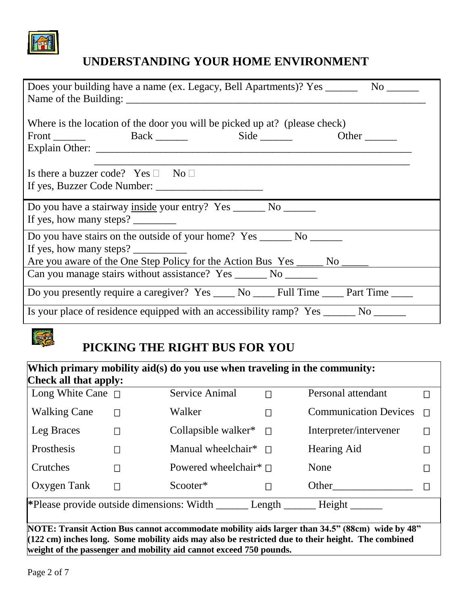

# **UNDERSTANDING YOUR HOME ENVIRONMENT**

| Does your building have a name (ex. Legacy, Bell Apartments)? Yes _________ No _______                                                                  |
|---------------------------------------------------------------------------------------------------------------------------------------------------------|
| Where is the location of the door you will be picked up at? (please check)<br>Other $\_\_$                                                              |
| Is there a buzzer code? Yes $\Box$ No $\Box$<br>If yes, Buzzer Code Number:                                                                             |
| Do you have a stairway inside your entry? Yes ________ No _______<br>If yes, how many steps?                                                            |
| Do you have stairs on the outside of your home? Yes _________ No _______<br>Are you aware of the One Step Policy for the Action Bus Yes ______ No _____ |
| Can you manage stairs without assistance? Yes ________ No _______                                                                                       |
| Do you presently require a caregiver? Yes _____ No _____ Full Time _____ Part Time _____                                                                |
| Is your place of residence equipped with an accessibility ramp? Yes ______ No ______                                                                    |

# **PICKING THE RIGHT BUS FOR YOU**

| <b>Check all that apply:</b><br>Long White Cane $\Box$ |              | <b>Service Animal</b>                  |        | Personal attendant           |   |
|--------------------------------------------------------|--------------|----------------------------------------|--------|------------------------------|---|
| <b>Walking Cane</b>                                    | $\mathsf{L}$ | Walker                                 |        | <b>Communication Devices</b> | Г |
| Leg Braces                                             | П            | Collapsible walker <sup>*</sup> $\Box$ |        | Interpreter/intervener       |   |
| Prosthesis                                             | П            | Manual wheelchair* $\Box$              |        | Hearing Aid                  |   |
| Crutches                                               | П            | Powered wheelchair* $\sqcap$           |        | None                         |   |
| Oxygen Tank                                            | $\Box$       | Scooter*                               |        | Other                        |   |
| *Please provide outside dimensions: Width              |              |                                        | Length | Height                       |   |

**NOTE: Transit Action Bus cannot accommodate mobility aids larger than 34.5" (88cm) wide by 48" (122 cm) inches long. Some mobility aids may also be restricted due to their height. The combined weight of the passenger and mobility aid cannot exceed 750 pounds.**

SE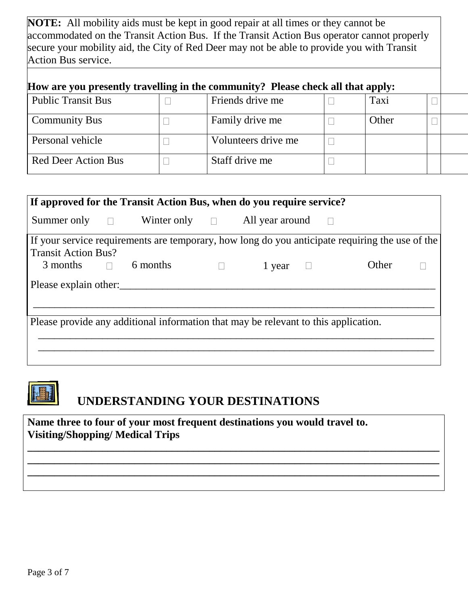**NOTE:** All mobility aids must be kept in good repair at all times or they cannot be accommodated on the Transit Action Bus. If the Transit Action Bus operator cannot properly secure your mobility aid, the City of Red Deer may not be able to provide you with Transit Action Bus service.

| How are you presently travelling in the community? Please check all that apply: |  |                     |  |       |  |  |
|---------------------------------------------------------------------------------|--|---------------------|--|-------|--|--|
| <b>Public Transit Bus</b>                                                       |  | Friends drive me    |  | Taxi  |  |  |
| <b>Community Bus</b>                                                            |  | Family drive me     |  | Other |  |  |
| Personal vehicle                                                                |  | Volunteers drive me |  |       |  |  |
| <b>Red Deer Action Bus</b>                                                      |  | Staff drive me      |  |       |  |  |

|                                                                                     |  | If approved for the Transit Action Bus, when do you require service? |  |        |  |                                                                                                 |  |
|-------------------------------------------------------------------------------------|--|----------------------------------------------------------------------|--|--------|--|-------------------------------------------------------------------------------------------------|--|
|                                                                                     |  | Summer only $\Box$ Winter only $\Box$ All year around                |  |        |  |                                                                                                 |  |
|                                                                                     |  |                                                                      |  |        |  | If your service requirements are temporary, how long do you anticipate requiring the use of the |  |
| <b>Transit Action Bus?</b>                                                          |  |                                                                      |  |        |  |                                                                                                 |  |
| $3$ months $\Box$ 6 months                                                          |  |                                                                      |  | 1 year |  | Other                                                                                           |  |
| Please explain other:                                                               |  |                                                                      |  |        |  |                                                                                                 |  |
| Please provide any additional information that may be relevant to this application. |  |                                                                      |  |        |  |                                                                                                 |  |
|                                                                                     |  |                                                                      |  |        |  |                                                                                                 |  |
|                                                                                     |  |                                                                      |  |        |  |                                                                                                 |  |
|                                                                                     |  |                                                                      |  |        |  |                                                                                                 |  |

**\_\_\_\_\_\_\_\_\_\_\_\_\_\_\_\_\_\_\_\_\_\_\_\_\_\_\_\_\_\_\_\_\_\_\_\_\_\_\_\_\_\_\_\_\_\_\_\_\_\_\_\_\_\_\_\_\_\_\_\_\_\_\_\_\_\_\_\_\_\_\_\_\_\_\_\_\_ \_\_\_\_\_\_\_\_\_\_\_\_\_\_\_\_\_\_\_\_\_\_\_\_\_\_\_\_\_\_\_\_\_\_\_\_\_\_\_\_\_\_\_\_\_\_\_\_\_\_\_\_\_\_\_\_\_\_\_\_\_\_\_\_\_\_\_\_\_\_\_\_\_\_\_\_\_ \_\_\_\_\_\_\_\_\_\_\_\_\_\_\_\_\_\_\_\_\_\_\_\_\_\_\_\_\_\_\_\_\_\_\_\_\_\_\_\_\_\_\_\_\_\_\_\_\_\_\_\_\_\_\_\_\_\_\_\_\_\_\_\_\_\_\_\_\_\_\_\_\_\_\_\_\_**



# **UNDERSTANDING YOUR DESTINATIONS**

**Name three to four of your most frequent destinations you would travel to. Visiting/Shopping/ Medical Trips**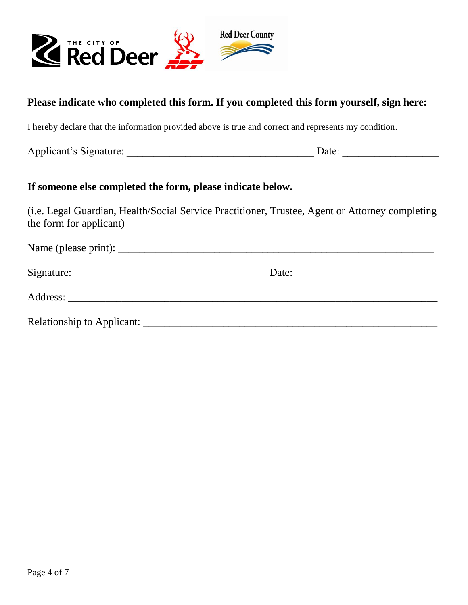

#### **Please indicate who completed this form. If you completed this form yourself, sign here:**

I hereby declare that the information provided above is true and correct and represents my condition.

Applicant's Signature: \_\_\_\_\_\_\_\_\_\_\_\_\_\_\_\_\_\_\_\_\_\_\_\_\_\_\_\_\_\_\_\_\_\_\_ Date: \_\_\_\_\_\_\_\_\_\_\_\_\_\_\_\_\_\_

#### **If someone else completed the form, please indicate below.**

(i.e. Legal Guardian, Health/Social Service Practitioner, Trustee, Agent or Attorney completing the form for applicant)

| Date: $\frac{1}{\sqrt{1-\frac{1}{2}} \cdot \frac{1}{2}}$ |  |
|----------------------------------------------------------|--|
|                                                          |  |
|                                                          |  |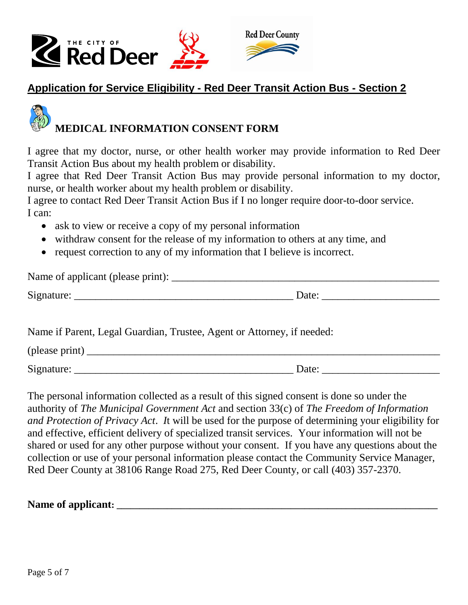



### **Application for Service Eligibility - Red Deer Transit Action Bus - Section 2**

# **MEDICAL INFORMATION CONSENT FORM**

I agree that my doctor, nurse, or other health worker may provide information to Red Deer Transit Action Bus about my health problem or disability.

I agree that Red Deer Transit Action Bus may provide personal information to my doctor, nurse, or health worker about my health problem or disability.

I agree to contact Red Deer Transit Action Bus if I no longer require door-to-door service. I can:

- ask to view or receive a copy of my personal information
- withdraw consent for the release of my information to others at any time, and
- request correction to any of my information that I believe is incorrect.

| Name of applicant (please print): |       |  |
|-----------------------------------|-------|--|
| Signature:                        | Date: |  |

Name if Parent, Legal Guardian, Trustee, Agent or Attorney, if needed:

 $(\text{please print})$ 

Signature: \_\_\_\_\_\_\_\_\_\_\_\_\_\_\_\_\_\_\_\_\_\_\_\_\_\_\_\_\_\_\_\_\_\_\_\_\_\_\_\_\_ Date: \_\_\_\_\_\_\_\_\_\_\_\_\_\_\_\_\_\_\_\_\_\_

The personal information collected as a result of this signed consent is done so under the authority of *The Municipal Government Act* and section 33(c) of *The Freedom of Information and Protection of Privacy Act*. *I*t will be used for the purpose of determining your eligibility for and effective, efficient delivery of specialized transit services. Your information will not be shared or used for any other purpose without your consent. If you have any questions about the collection or use of your personal information please contact the Community Service Manager, Red Deer County at 38106 Range Road 275, Red Deer County, or call (403) 357-2370.

Name of applicant: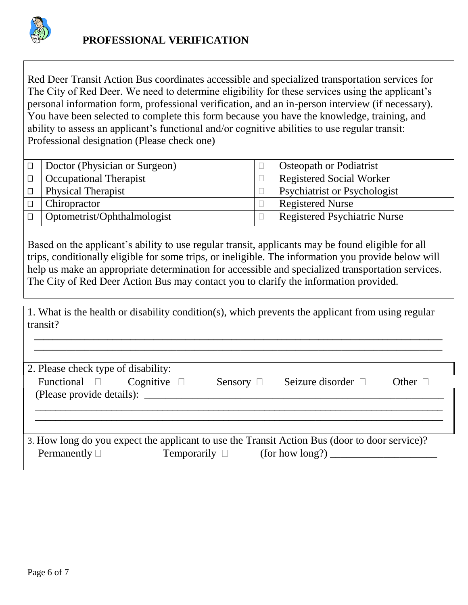

Red Deer Transit Action Bus coordinates accessible and specialized transportation services for The City of Red Deer. We need to determine eligibility for these services using the applicant's personal information form, professional verification, and an in-person interview (if necessary). You have been selected to complete this form because you have the knowledge, training, and ability to assess an applicant's functional and/or cognitive abilities to use regular transit: Professional designation (Please check one)

| Doctor (Physician or Surgeon) | <b>Osteopath or Podiatrist</b>      |
|-------------------------------|-------------------------------------|
| <b>Occupational Therapist</b> | <b>Registered Social Worker</b>     |
| <b>Physical Therapist</b>     | <b>Psychiatrist or Psychologist</b> |
| Chiropractor                  | <b>Registered Nurse</b>             |
| Optometrist/Ophthalmologist   | <b>Registered Psychiatric Nurse</b> |

Based on the applicant's ability to use regular transit, applicants may be found eligible for all trips, conditionally eligible for some trips, or ineligible. The information you provide below will help us make an appropriate determination for accessible and specialized transportation services. The City of Red Deer Action Bus may contact you to clarify the information provided.

1. What is the health or disability condition(s), which prevents the applicant from using regular transit?

 **\_\_\_\_\_\_\_\_\_\_\_\_\_\_\_\_\_\_\_\_\_\_\_\_\_\_\_\_\_\_\_\_\_\_\_\_\_\_\_\_\_\_\_\_\_\_\_\_\_\_\_\_\_\_\_\_\_\_\_\_\_\_\_\_\_\_\_\_\_\_\_\_\_\_\_\_\_\_\_\_\_\_\_\_\_\_\_\_\_**

| 2. Please check type of disability:               |                  |                |                                                                                               |              |
|---------------------------------------------------|------------------|----------------|-----------------------------------------------------------------------------------------------|--------------|
| Functional $\square$<br>(Please provide details): | Cognitive $\Box$ | Sensory $\Box$ | Seizure disorder $\Box$                                                                       | Other $\Box$ |
|                                                   |                  |                |                                                                                               |              |
|                                                   |                  |                | 3. How long do you expect the applicant to use the Transit Action Bus (door to door service)? |              |
| Permanently $\Box$                                |                  |                |                                                                                               |              |